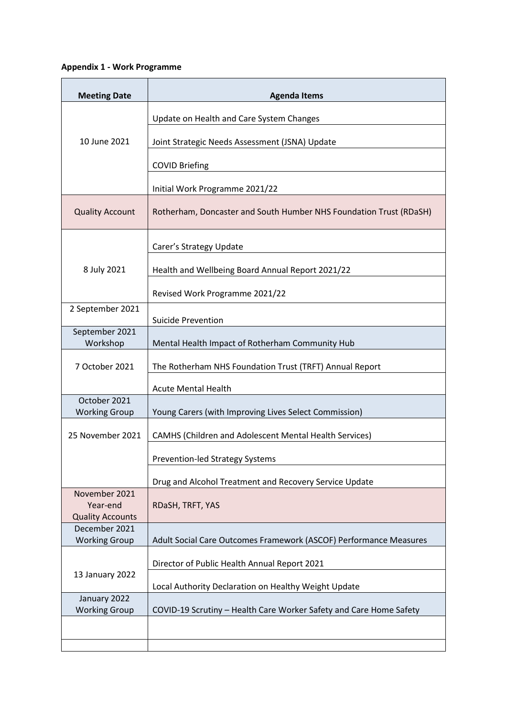## **Appendix 1 - Work Programme**

| <b>Meeting Date</b>                                  | <b>Agenda Items</b>                                                |
|------------------------------------------------------|--------------------------------------------------------------------|
| 10 June 2021                                         | Update on Health and Care System Changes                           |
|                                                      | Joint Strategic Needs Assessment (JSNA) Update                     |
|                                                      | <b>COVID Briefing</b>                                              |
|                                                      | Initial Work Programme 2021/22                                     |
| <b>Quality Account</b>                               | Rotherham, Doncaster and South Humber NHS Foundation Trust (RDaSH) |
| 8 July 2021                                          | Carer's Strategy Update                                            |
|                                                      | Health and Wellbeing Board Annual Report 2021/22                   |
|                                                      | Revised Work Programme 2021/22                                     |
| 2 September 2021                                     | <b>Suicide Prevention</b>                                          |
| September 2021<br>Workshop                           | Mental Health Impact of Rotherham Community Hub                    |
| 7 October 2021                                       | The Rotherham NHS Foundation Trust (TRFT) Annual Report            |
|                                                      | <b>Acute Mental Health</b>                                         |
| October 2021<br><b>Working Group</b>                 | Young Carers (with Improving Lives Select Commission)              |
| 25 November 2021                                     | CAMHS (Children and Adolescent Mental Health Services)             |
|                                                      | <b>Prevention-led Strategy Systems</b>                             |
|                                                      | Drug and Alcohol Treatment and Recovery Service Update             |
| November 2021<br>Year-end<br><b>Quality Accounts</b> | RDaSH, TRFT, YAS                                                   |
| December 2021<br><b>Working Group</b>                | Adult Social Care Outcomes Framework (ASCOF) Performance Measures  |
| 13 January 2022                                      | Director of Public Health Annual Report 2021                       |
|                                                      | Local Authority Declaration on Healthy Weight Update               |
| January 2022<br><b>Working Group</b>                 | COVID-19 Scrutiny - Health Care Worker Safety and Care Home Safety |
|                                                      |                                                                    |
|                                                      |                                                                    |